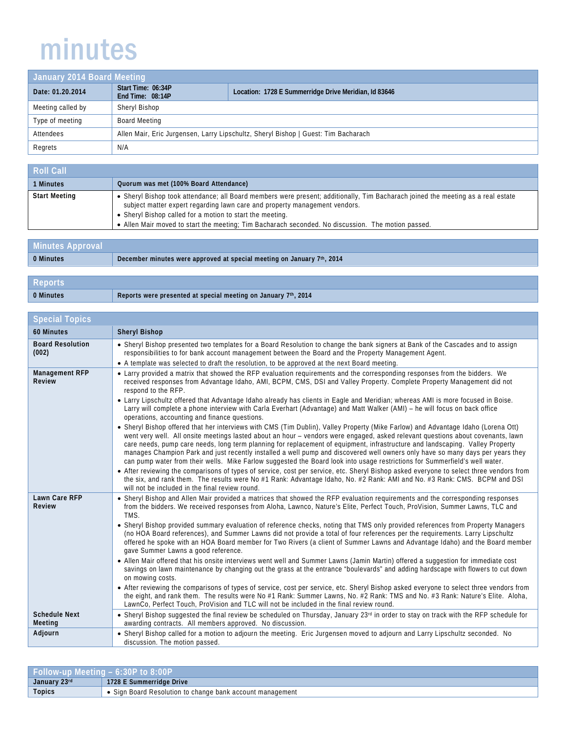## minutes

| January 2014 Board Meeting |                                        |                                                                                    |
|----------------------------|----------------------------------------|------------------------------------------------------------------------------------|
| Date: 01.20.2014           | Start Time: 06:34P<br>End Time: 08:14P | Location: 1728 E Summerridge Drive Meridian, Id 83646                              |
| Meeting called by          | Sheryl Bishop                          |                                                                                    |
| Type of meeting            | Board Meeting                          |                                                                                    |
| Attendees                  |                                        | Allen Mair, Eric Jurgensen, Larry Lipschultz, Sheryl Bishop   Guest: Tim Bacharach |
| Regrets                    | N/A                                    |                                                                                    |

| Roll Call            |                                                                                                                                                                                                                                                                                                                                                                                   |
|----------------------|-----------------------------------------------------------------------------------------------------------------------------------------------------------------------------------------------------------------------------------------------------------------------------------------------------------------------------------------------------------------------------------|
| <b>Minutes</b>       | Quorum was met (100% Board Attendance)                                                                                                                                                                                                                                                                                                                                            |
| <b>Start Meeting</b> | • Sheryl Bishop took attendance; all Board members were present; additionally, Tim Bacharach joined the meeting as a real estate<br>subject matter expert regarding lawn care and property management vendors.<br>• Sheryl Bishop called for a motion to start the meeting.<br>• Allen Mair moved to start the meeting; Tim Bacharach seconded. No discussion. The motion passed. |

| Minutes Approval |                                                                        |  |
|------------------|------------------------------------------------------------------------|--|
| 0 Minutes        | December minutes were approved at special meeting on January 7th, 2014 |  |
|                  |                                                                        |  |
| <b>Reports</b>   |                                                                        |  |

**0 Minutes Reports were presented at special meeting on January 7th, 2014**

| <b>Special Topics</b>            |                                                                                                                                                                                                                                                                                                                                                                                                                                                                                                                                                                                                                                                                                                                                                                                                                                                                                                                                                                                                                                                                                                                                                                                                                                                                                                                                                                                        |  |
|----------------------------------|----------------------------------------------------------------------------------------------------------------------------------------------------------------------------------------------------------------------------------------------------------------------------------------------------------------------------------------------------------------------------------------------------------------------------------------------------------------------------------------------------------------------------------------------------------------------------------------------------------------------------------------------------------------------------------------------------------------------------------------------------------------------------------------------------------------------------------------------------------------------------------------------------------------------------------------------------------------------------------------------------------------------------------------------------------------------------------------------------------------------------------------------------------------------------------------------------------------------------------------------------------------------------------------------------------------------------------------------------------------------------------------|--|
| <b>60 Minutes</b>                | <b>Sheryl Bishop</b>                                                                                                                                                                                                                                                                                                                                                                                                                                                                                                                                                                                                                                                                                                                                                                                                                                                                                                                                                                                                                                                                                                                                                                                                                                                                                                                                                                   |  |
| <b>Board Resolution</b><br>(002) | • Sheryl Bishop presented two templates for a Board Resolution to change the bank signers at Bank of the Cascades and to assign<br>responsibilities to for bank account management between the Board and the Property Management Agent.<br>• A template was selected to draft the resolution, to be approved at the next Board meeting.                                                                                                                                                                                                                                                                                                                                                                                                                                                                                                                                                                                                                                                                                                                                                                                                                                                                                                                                                                                                                                                |  |
| <b>Management RFP</b><br>Review  | • Larry provided a matrix that showed the RFP evaluation requirements and the corresponding responses from the bidders. We<br>received responses from Advantage Idaho, AMI, BCPM, CMS, DSI and Valley Property. Complete Property Management did not<br>respond to the RFP.<br>• Larry Lipschultz offered that Advantage Idaho already has clients in Eagle and Meridian; whereas AMI is more focused in Boise.<br>Larry will complete a phone interview with Carla Everhart (Advantage) and Matt Walker (AMI) - he will focus on back office<br>operations, accounting and finance questions.                                                                                                                                                                                                                                                                                                                                                                                                                                                                                                                                                                                                                                                                                                                                                                                         |  |
|                                  | . Sheryl Bishop offered that her interviews with CMS (Tim Dublin), Valley Property (Mike Farlow) and Advantage Idaho (Lorena Ott)<br>went very well. All onsite meetings lasted about an hour – vendors were engaged, asked relevant guestions about covenants, lawn<br>care needs, pump care needs, long term planning for replacement of equipment, infrastructure and landscaping. Valley Property<br>manages Champion Park and just recently installed a well pump and discovered well owners only have so many days per years they<br>can pump water from their wells. Mike Farlow suggested the Board look into usage restrictions for Summerfield's well water.<br>• After reviewing the comparisons of types of service, cost per service, etc. Sheryl Bishop asked everyone to select three vendors from<br>the six, and rank them. The results were No #1 Rank: Advantage Idaho, No. #2 Rank: AMI and No. #3 Rank: CMS. BCPM and DSI<br>will not be included in the final review round.                                                                                                                                                                                                                                                                                                                                                                                      |  |
| Lawn Care RFP<br>Review          | • Sheryl Bishop and Allen Mair provided a matrices that showed the RFP evaluation requirements and the corresponding responses<br>from the bidders. We received responses from Aloha, Lawnco, Nature's Elite, Perfect Touch, ProVision, Summer Lawns, TLC and<br>TMS.<br>• Sheryl Bishop provided summary evaluation of reference checks, noting that TMS only provided references from Property Managers<br>(no HOA Board references), and Summer Lawns did not provide a total of four references per the requirements. Larry Lipschultz<br>offered he spoke with an HOA Board member for Two Rivers (a client of Summer Lawns and Advantage Idaho) and the Board member<br>gave Summer Lawns a good reference.<br>• Allen Mair offered that his onsite interviews went well and Summer Lawns (Jamin Martin) offered a suggestion for immediate cost<br>savings on lawn maintenance by changing out the grass at the entrance "boulevards" and adding hardscape with flowers to cut down<br>on mowing costs.<br>• After reviewing the comparisons of types of service, cost per service, etc. Sheryl Bishop asked everyone to select three vendors from<br>the eight, and rank them. The results were No #1 Rank: Summer Lawns, No. #2 Rank: TMS and No. #3 Rank: Nature's Elite. Aloha,<br>LawnCo, Perfect Touch, ProVision and TLC will not be included in the final review round. |  |
| <b>Schedule Next</b><br>Meeting  | • Sheryl Bishop suggested the final review be scheduled on Thursday, January $23^{rd}$ in order to stay on track with the RFP schedule for<br>awarding contracts. All members approved. No discussion.                                                                                                                                                                                                                                                                                                                                                                                                                                                                                                                                                                                                                                                                                                                                                                                                                                                                                                                                                                                                                                                                                                                                                                                 |  |
| Adjourn                          | • Sheryl Bishop called for a motion to adjourn the meeting. Eric Jurgensen moved to adjourn and Larry Lipschultz seconded. No<br>discussion. The motion passed.                                                                                                                                                                                                                                                                                                                                                                                                                                                                                                                                                                                                                                                                                                                                                                                                                                                                                                                                                                                                                                                                                                                                                                                                                        |  |

| $\blacktriangle$ Follow-up Meeting – 6:30P to 8:00P $\blacktriangle$ |                                                               |
|----------------------------------------------------------------------|---------------------------------------------------------------|
| 23 <sup>rd</sup><br><b>January</b>                                   | 1728 E Summerridae Drive                                      |
| <b>Topics</b>                                                        | n Board Resolution to change bank account management،<br>Sian |